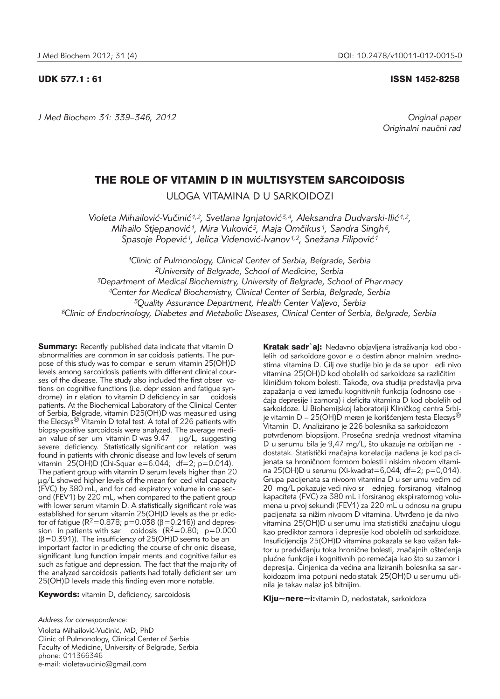*J Med Biochem 31: 339–346, 2012 Original paper*

UDK 577.1 : 61 ISSN 1452-8258

Originalni naučni rad

# THE ROLE OF VITAMIN D IN MULTISYSTEM SARCOIDOSIS

ULOGA VITAMINA D U SARKOIDOZI

Violeta Mihailović-Vučinić<sup>1,2</sup>, Svetlana Ignjatović<sup>3,4</sup>, Aleksandra Dudvarski-Ilić<sup>1,2</sup>, *Mihailo Stjepanovi}1, Mira Vukovi}5, Maja Om~ikus1, Sandra Singh6,*  Spasoje Popević<sup>1</sup>, Jelica Videnović-Ivanov<sup>1,2</sup>, Snežana Filipović<sup>1</sup>

*1Clinic of Pulmonology, Clinical Center of Serbia, Belgrade, Serbia 2University of Belgrade, School of Medicine, Serbia 3Department of Medical Biochemistry, University of Belgrade, School of Phar macy 4Center for Medical Biochemistry, Clinical Center of Serbia, Belgrade, Serbia 5Quality Assurance Department, Health Center Valjevo, Serbia 6Clinic of Endocrinology, Diabetes and Metabolic Diseases, Clinical Center of Serbia, Belgrade, Serbia*

**Summary:** Recently published data indicate that vitamin D abnormalities are common in sar coidosis patients. The purpose of this study was to compar e serum vitamin 25(OH)D levels among sarcoidosis patients with different clinical courses of the disease. The study also included the first obser vations on cognitive functions (i.e. depr ession and fatigue syndrome) in r elation to vitamin D deficiency in sar coidosis patients. At the Biochemical Laboratory of the Clinical Center of Serbia, Belgrade, vitamin D25(OH)D was measur ed using the Elecsys<sup>®</sup> Vitamin D total test. A total of 226 patients with biopsy-positive sarcoidosis were analyzed. The average median value of ser um vitamin D was  $9.47$   $\mu$ g/L, suggesting severe deficiency. Statistically significant cor relation was found in patients with chronic disease and low levels of serum vitamin 25(OH)D (Chi-Squar e=6.044; df=2; p=0.014). The patient group with vitamin D serum levels higher than 20 µg/L showed higher levels of the mean for ced vital capacity (FVC) by 380 mL, and for ced expiratory volume in one second (FEV1) by 220 mL, when compared to the patient group with lower serum vitamin D. A statistically significant role was established for serum vitamin 25(OH)D levels as the pr edictor of fatigue ( $R^2$ =0.878; p=0.038 ( $\beta$ =0.216)) and depression in patients with sar coidosis  $(R^2=0.80; p=0.000)$  $(\beta=0.391)$ ). The insufficiency of 25(OH)D seems to be an important factor in pr edicting the course of chr onic disease, significant lung function impair ments and cognitive failur es such as fatigue and depression. The fact that the majo rity of the analyzed sarcoidosis patients had totally deficient ser um 25(OH)D levels made this finding even more notable.

Keywords: vitamin D, deficiency, sarcoidosis

Violeta Mihailović-Vučinić, MD, PhD Clinic of Pulmonology, Clinical Center of Serbia Faculty of Medicine, University of Belgrade, Serbia phone: 011366346 e-mail: violetavucinic@gmail.com

Kratak sadr`aj: Nedavno objavljena istraživanja kod obo lelih od sarkoidoze govor e o čestim abnor malnim vrednostima vitamina D. Cilj ove studije bio je da se upor edi nivo vitamina 25(OH)D kod obolelih od sarkoidoze sa različitim kliničkim tokom bolesti. Takođe, ova studija predstavlja prva zapažanja o vezi između kognitivnih funkcija (odnosno ose ćaja depresije i zamora) i deficita vitamina D kod obolelih od sarkoidoze. U Biohemijskoj laboratoriji Kliničkog centra Srbije vitamin D – 25(OH)D meren je korišćenjem testa Elecsys<sup>®</sup> Vitamin D. Analizirano je 226 bolesnika sa sarkoidozom potvrđenom biopsijom. Prosečna srednja vrednost vitamina D u serumu bila je 9,47 mg/L, što ukazuje na ozbiljan ne dostatak. Statistički značajna kor elacija nađena je kod pa cijenata sa hroničnom formom bolesti i niskim nivoom vitamina 25(OH)D u serumu (Xi-kvadrat=6,044; df=2; p=0,014). Grupa pacijenata sa nivoom vitamina D u ser umu većim od 20 mg/L pokazuje veći nivo sr ednjeg forsiranog vitalnog kapaciteta (FVC) za 380 mL i forsiranog ekspi ratornog volumena u prvoj sekundi (FEV1) za 220 mL u odnosu na grupu pacijenata sa nižim nivoom D vitamina. Utvrđeno je da nivo vitamina 25(OH)D u ser umu ima statistički značajnu ulogu kao prediktor zamora i depresije kod obolelih od sarkoidoze. Insuficijencija 25(OH)D vitamina pokazala se kao važan faktor u predviđanju toka hronične bolesti, značajnih oštećenja plućne funkcije i kognitivnih po remećaja kao što su zamor i depresija. Činjenica da većina ana liziranih bolesnika sa sar koidozom ima potpuni nedo statak 25(OH)D u ser umu učinila je takav nalaz još bitnijim.

Klju~nere~i: vitamin D, nedostatak, sarkoidoza

*Address for correspondence:*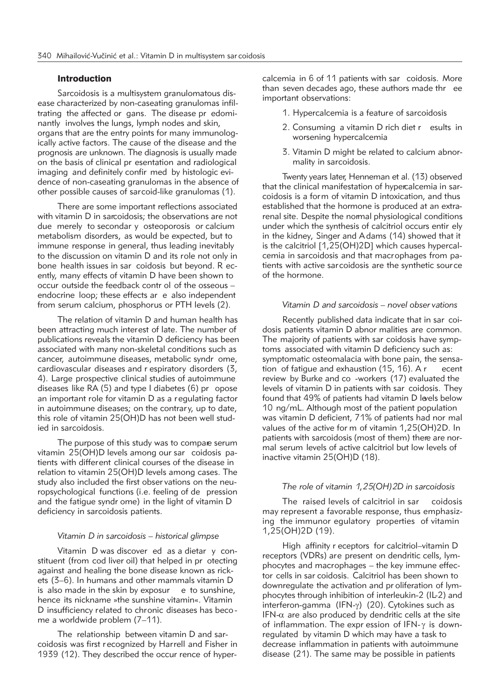# Introduction

Sarcoidosis is a multisystem granulomatous disease characterized by non-caseating granulomas infiltrating the affected or gans. The disease pr edominantly involves the lungs, lymph nodes and skin, organs that are the entry points for many immunologically active factors. The cause of the disease and the prognosis are unknown. The diagnosis is usually made on the basis of clinical pr esentation and radiological imaging and definitely confir med by histologic evidence of non-caseating granulomas in the absence of other possible causes of sarcoid-like granulomas (1).

There are some important reflections associated with vitamin D in sarcoidosis; the observations are not due merely to secondar y osteoporosis or calcium metabolism disorders, as would be expected, but to immune response in general, thus leading inevitably to the discussion on vitamin D and its role not only in bone health issues in sar coidosis but beyond. R ecently, many effects of vitamin D have been shown to occur outside the feedback contr ol of the osseous – endocrine loop; these effects ar e also independent from serum calcium, phosphorus or PTH levels (2).

The relation of vitamin D and human health has been attracting much interest of late. The number of publications reveals the vitamin D deficiency has been associated with many non-skeletal conditions such as cancer, autoimmune diseases, metabolic syndr ome, cardiovascular diseases and r espiratory disorders (3, 4). Large prospective clinical studies of autoimmune diseases like RA (5) and type I diabetes (6) pr opose an important role for vitamin D as a regulating factor in autoimmune diseases; on the contrar y, up to date, this role of vitamin 25(OH)D has not been well studied in sarcoidosis.

The purpose of this study was to compare serum vitamin 25(OH)D levels among our sar coidosis patients with different clinical courses of the disease in relation to vitamin 25(OH)D levels among cases. The study also included the first obser vations on the neuropsychological functions (i.e. feeling of de pression and the fatigue syndr ome) in the light of vitamin D deficiency in sarcoidosis patients.

# *Vitamin D in sarcoidosis – historical glimpse*

Vitamin D was discover ed as a dietar y constituent (from cod liver oil) that helped in pr otecting against and healing the bone disease known as rickets (3–6). In humans and other mammals vitamin D is also made in the skin by exposur e to sunshine, hence its nickname »the sunshine vitamin«. Vitamin D insufficiency related to chronic diseases has beco me a worldwide problem (7–11).

The relationship between vitamin D and sarcoidosis was first r ecognized by Harrell and Fisher in 1939 (12). They described the occur rence of hypercalcemia in 6 of 11 patients with sar coidosis. More than seven decades ago, these authors made thr ee important observations:

- 1. Hypercalcemia is a feature of sarcoidosis
- 2. Consuming a vitamin D rich diet r esults in worsening hypercalcemia
- 3. Vitamin D might be related to calcium abnormality in sarcoidosis.

Twenty years later, Henneman et al. (13) observed that the clinical manifestation of hypercalcemia in sarcoidosis is a form of vitamin D intoxication, and thus established that the hormone is produced at an extrarenal site. Despite the normal physiological conditions under which the synthesis of calcitriol occurs entir ely in the kidney, Singer and A dams (14) showed that it is the calcitriol [1,25(OH)2D] which causes hypercalcemia in sarcoidosis and that macrophages from patients with active sarcoidosis are the synthetic source of the hormone.

### *Vitamin D and sarcoidosis – novel obser vations*

Recently published data indicate that in sar coidosis patients vitamin D abnor malities are common. The majority of patients with sar coidosis have symptoms associated with vitamin D deficiency such as: symptomatic osteomalacia with bone pain, the sensation of fatigue and exhaustion (15, 16). A r ecent review by Burke and co -workers (17) evaluated the levels of vitamin D in patients with sar coidosis. They found that 49% of patients had vitamin D levels below 10 ng/mL. Although most of the patient population was vitamin D deficient, 71% of patients had nor mal values of the active for m of vitamin 1,25(OH)2D. In patients with sarcoidosis (most of them) there are normal serum levels of active calcitriol but low levels of inactive vitamin 25(OH)D (18).

#### *The role of vitamin 1,25(OH)2D in sarcoidosis*

The raised levels of calcitriol in sar coidosis may represent a favorable response, thus emphasizing the immunor egulatory properties of vitamin 1,25(OH)2D (19).

High affinity r eceptors for calcitriol–vitamin D receptors (VDRs) are present on dendritic cells, lymphocytes and macrophages – the key immune effector cells in sar coidosis. Calcitriol has been shown to downregulate the activation and pr oliferation of lymphocytes through inhibition of interleukin-2 (IL-2) and interferon-gamma  $(IFN-y)$  (20). Cytokines such as IFN- $\alpha$  are also produced by dendritic cells at the site of inflammation. The expr ession of IFN- $\gamma$  is downregulated by vitamin D which may have a task to decrease inflammation in patients with autoimmune disease (21). The same may be possible in patients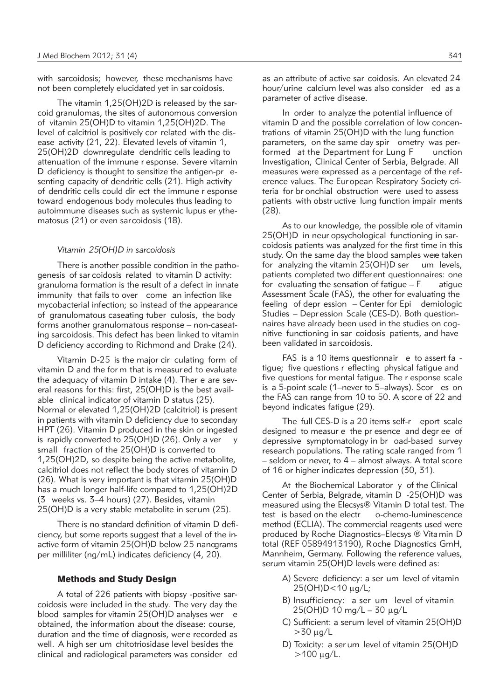with sarcoidosis; however, these mechanisms have not been completely elucidated yet in sar coidosis.

The vitamin 1,25(OH)2D is released by the sarcoid granulomas, the sites of autonomous conversion of vitamin 25(OH)D to vitamin 1,25(OH)2D. The level of calcitriol is positively cor related with the disease activity (21, 22). Elevated levels of vitamin 1, 25(OH)2D downregulate dendritic cells leading to attenuation of the immune r esponse. Severe vitamin D deficiency is thought to sensitize the antigen-pr esenting capacity of dendritic cells (21). High activity of dendritic cells could dir ect the immune r esponse toward endogenous body molecules thus leading to autoimmune diseases such as systemic lupus er ythematosus (21) or even sarcoidosis (18).

#### *Vitamin 25(OH)D in sarcoidosis*

There is another possible condition in the pathogenesis of sar coidosis related to vitamin D activity: granuloma formation is the result of a defect in innate immunity that fails to over come an infection like mycobacterial infection; so instead of the appearance of granulomatous caseating tuber culosis, the body forms another granulomatous response – non-caseating sarcoidosis. This defect has been linked to vitamin D deficiency according to Richmond and Drake (24).

Vitamin D-25 is the major cir culating form of vitamin D and the for m that is measured to evaluate the adequacy of vitamin D intake (4). Ther e are several reasons for this: first, 25(OH)D is the best available clinical indicator of vitamin D status (25). Normal or elevated 1,25(OH)2D (calcitriol) is present in patients with vitamin D deficiency due to secondary HPT (26). Vitamin D produced in the skin or ingested is rapidly converted to  $25(OH)D(26)$ . Only a ver y small fraction of the 25(OH)D is converted to 1,25(OH)2D, so despite being the active metabolite, calcitriol does not reflect the body stores of vitamin D (26). What is very important is that vitamin 25(OH)D has a much longer half-life compared to 1,25(OH)2D (3 weeks vs. 3–4 hours) (27). Besides, vitamin 25(OH)D is a very stable metabolite in serum (25).

There is no standard definition of vitamin D deficiency, but some reports suggest that a level of the in active form of vitamin 25(OH)D below 25 nanograms per milliliter (ng/mL) indicates deficiency (4, 20).

# Methods and Study Design

A total of 226 patients with biopsy -positive sarcoidosis were included in the study. The very day the blood samples for vitamin 25(OH)D analyses wer e obtained, the information about the disease: course, duration and the time of diagnosis, wer e recorded as well. A high ser um chitotriosidase level besides the clinical and radiological parameters was consider ed

as an attribute of active sar coidosis. An elevated 24 hour/urine calcium level was also consider ed as a parameter of active disease.

In order to analyze the potential influence of vitamin D and the possible correlation of low concentrations of vitamin 25(OH)D with the lung function parameters, on the same day spir ometry was performed at the Department for Lung F unction Investigation, Clinical Center of Serbia, Belgrade. All measures were expressed as a percentage of the reference values. The European Respiratory Society criteria for br onchial obstruction were used to assess patients with obstr uctive lung function impair ments (28).

As to our knowledge, the possible role of vitamin 25(OH)D in neur opsychological functioning in sarcoidosis patients was analyzed for the first time in this study. On the same day the blood samples were taken for analyzing the vitamin 25(OH)D ser um levels, patients completed two differ ent questionnaires: one for evaluating the sensation of fatigue  $-F$  atigue Assessment Scale (FAS), the other for evaluating the feeling of depr ession  $-$  Center for Epi demiologic Studies – Depr ession Scale (CES-D). Both questionnaires have already been used in the studies on cognitive functioning in sar coidosis patients, and have been validated in sarcoidosis.

FAS is a 10 items questionnair e to assert fa tigue; five questions r eflecting physical fatigue and five questions for mental fatigue. The r esponse scale is a 5-point scale (1–never to 5–always). Scor es on the FAS can range from 10 to 50. A score of 22 and beyond indicates fatigue (29).

The full CES-D is a 20 items self-r eport scale designed to measur e the pr esence and degr ee of depressive symptomatology in br oad-based survey research populations. The rating scale ranged from 1 – seldom or never, to 4 – almost always. A total score of 16 or higher indicates depression (30, 31).

At the Biochemical Laborator y of the Clinical Center of Serbia, Belgrade, vitamin D -25(OH)D was measured using the Elecsys® Vitamin D total test. The test is based on the electr o-chemo-luminescence method (ECLIA). The commercial reagents used were produced by Roche Diagnostics–Elecsys ® Vita min D total (REF 05894913190), Roche Diagnostics GmH, Mannheim, Germany. Following the reference values, serum vitamin 25(OH)D levels were defined as:

- A) Severe deficiency: a ser um level of vitamin 25(OH)D<10 mg/L;
- B) Insufficiency: a ser um level of vitamin  $25(OH)D 10 mg/L - 30 \mu g/L$
- C) Sufficient: a serum level of vitamin 25(OH)D  $>30 \mu q/L$
- D) Toxicity: a ser um level of vitamin 25(OH)D  $>100 \mu g/L$ .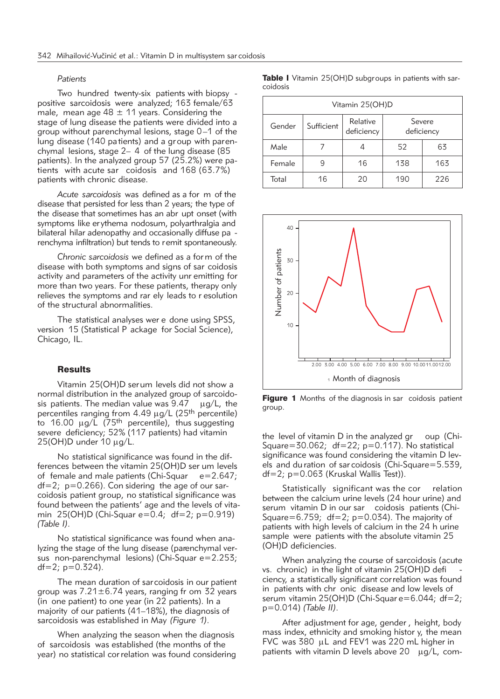#### *Patients*

Two hundred twenty-six patients with biopsy positive sarcoidosis were analyzed; 163 female/63 male, mean age  $48 \pm 11$  years. Considering the stage of lung disease the patients were divided into a group without parenchymal lesions, stage 0–1 of the lung disease (140 pa tients) and a group with parenchymal lesions, stage 2– 4 of the lung disease (85 patients). In the analyzed group 57 (25.2%) were patients with acute sar coidosis and  $168 (63.7%)$ patients with chronic disease.

*Acute sarcoidosis* was defined as a for m of the disease that persisted for less than 2 years; the type of the disease that sometimes has an abr upt onset (with symptoms like er ythema nodosum, polyarthralgia and bilateral hilar adenopathy and occasionally diffuse pa renchyma infiltration) but tends to remit spontaneously.

*Chronic sarcoidosis* we defined as a for m of the disease with both symptoms and signs of sar coidosis activity and parameters of the activity unr emitting for more than two years. For these patients, therapy only relieves the symptoms and rar ely leads to r esolution of the structural abnormalities.

The statistical analyses wer e done using SPSS, version 15 (Statistical P ackage for Social Science), Chicago, IL.

#### **Results**

Vitamin 25(OH)D serum levels did not show a normal distribution in the analyzed group of sarcoidosis patients. The median value was  $9.47 \quad \mu g/L$ , the percentiles ranging from  $4.49 \mu g/L$  (25<sup>th</sup> percentile) to 16.00  $\mu$ g/L (75<sup>th</sup> percentile), thus suggesting severe deficiency; 52% (117 patients) had vitamin  $25(OH)D$  under 10  $\mu$ g/L.

No statistical significance was found in the differences between the vitamin 25(OH)D ser um levels of female and male patients (Chi-Squar  $e=2.647$ ;  $df=2$ ;  $p=0.266$ ). Con sidering the age of our sarcoidosis patient group, no statistical significance was found between the patients' age and the levels of vitamin 25(OH)D (Chi-Squar e=0.4; df=2; p=0.919) *(Table I)*.

No statistical significance was found when analyzing the stage of the lung disease (parenchymal versus non-parenchymal lesions) (Chi-Squar e=2.253;  $df=2$ ;  $p=0.324$ ).

The mean duration of sarcoidosis in our patient group was  $7.21 \pm 6.74$  years, ranging fr om 32 years (in one patient) to one year (in 22 patients). In a majority of our patients (41–18%), the diagnosis of sarcoidosis was established in May *(Figure 1)*.

When analyzing the season when the diagnosis of sarcoidosis was established (the months of the year) no statistical cor relation was found considering Table I Vitamin 25(OH)D subgroups in patients with sarcoidosis

| Vitamin 25(OH)D |            |                        |                      |     |  |
|-----------------|------------|------------------------|----------------------|-----|--|
| Gender          | Sufficient | Relative<br>deficiency | Severe<br>deficiency |     |  |
| Male            |            |                        | 52                   | 63  |  |
| Female          |            | 16                     | 138                  | 163 |  |
| Total           | 16         | 20                     | 190                  | 226 |  |



**Figure 1** Months of the diagnosis in sar coidosis patient group.

the level of vitamin D in the analyzed gr oup (Chi-Square=30.062;  $df=22$ ;  $p=0.117$ ). No statistical significance was found considering the vitamin D levels and du ration of sar coidosis (Chi-Square=5.539, df=2; p=0.063 (Kruskal Wallis Test)).

Statistically significant was the cor relation between the calcium urine levels (24 hour urine) and serum vitamin D in our sar coidosis patients (Chi-Square=6.759;  $df=2$ ;  $p=0.034$ ). The majority of patients with high levels of calcium in the 24 h urine sample were patients with the absolute vitamin 25 (OH)D deficiencies.

When analyzing the course of sarcoidosis (acute vs. chronic) in the light of vitamin 25(OH)D defi ciency, a statistically significant correlation was found in patients with chr onic disease and low levels of serum vitamin 25(OH)D (Chi-Squar e=6.044; df=2; p=0.014) *(Table II)*.

After adjustment for age, gender , height, body mass index, ethnicity and smoking histor y, the mean FVC was 380 µL and FEV1 was 220 mL higher in patients with vitamin D levels above  $20 \mu g/L$ , com-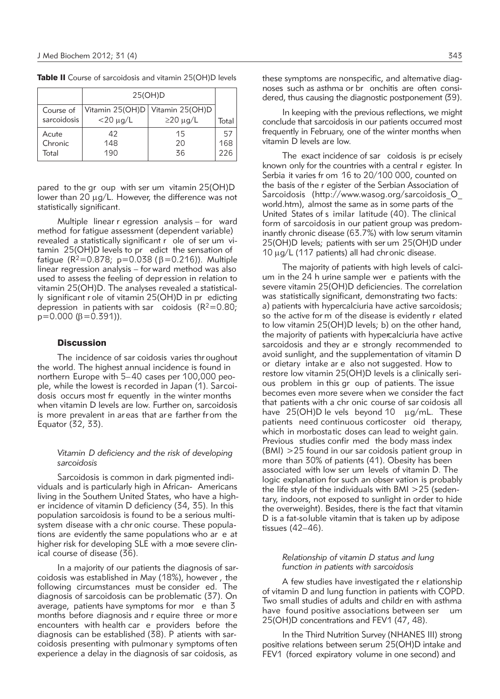|             | 25(OH)D          |                                   |       |
|-------------|------------------|-----------------------------------|-------|
| Course of   |                  | Vitamin 25(OH)D   Vitamin 25(OH)D |       |
| sarcoidosis | $<$ 20 $\mu$ g/L | $\geq$ 20 µg/L                    | Total |
| Acute       | 42               | 15                                | 57    |
| Chronic     | 148              | 20                                | 168   |
| Total       | 190              | 36                                | 226   |

Table II Course of sarcoidosis and vitamin 25(OH)D levels

pared to the gr oup with ser um vitamin 25(OH)D lower than 20  $\mu$ g/L. However, the difference was not statistically significant.

Multiple linear r egression analysis – for ward method for fatigue assessment (dependent variable) revealed a statistically significant r ole of ser um vitamin 25(OH)D levels to pr edict the sensation of fatique ( $R^2 = 0.878$ ; p=0.038 ( $\beta = 0.216$ )). Multiple linear regression analysis – for ward method was also used to assess the feeling of depression in relation to vitamin 25(OH)D. The analyses revealed a statistically significant r ole of vitamin 25(OH)D in pr edicting depression in patients with sar coidosis  $(R^2=0.80;$  $p=0.000 ( \beta = 0.391)$ ).

# **Discussion**

The incidence of sar coidosis varies thr oughout the world. The highest annual incidence is found in northern Europe with 5–40 cases per 100,000 people, while the lowest is recorded in Japan (1). Sarcoidosis occurs most fr equently in the winter months when vitamin D levels are low. Further on, sarcoidosis is more prevalent in ar eas that are farther from the Equator (32, 33).

#### *Vitamin D deficiency and the risk of developing sarcoidosis*

Sarcoidosis is common in dark pigmented individuals and is particularly high in African- Americans living in the Southern United States, who have a higher incidence of vitamin D deficiency (34, 35). In this population sarcoidosis is found to be a serious multisystem disease with a chr onic course. These populations are evidently the same populations who ar e at higher risk for developing SLE with a more severe clinical course of disease (36).

In a majority of our patients the diagnosis of sarcoidosis was established in May (18%), however , the following circumstances must be consider ed. The diagnosis of sarcoidosis can be problematic (37). On average, patients have symptoms for mor e than 3 months before diagnosis and r equire three or mor e encounters with health car e providers before the diagnosis can be established (38). P atients with sarcoidosis presenting with pulmonar y symptoms often experience a delay in the diagnosis of sar coidosis, as

In keeping with the previous reflections, we might conclude that sarcoidosis in our patients occurred most frequently in February, one of the winter months when vitamin D levels are low.

The exact incidence of sar coidosis is pr ecisely known only for the countries with a central r egister. In Serbia it varies fr om 16 to 20/100 000, counted on the basis of the r egister of the Serbian Association of Sarcoidosis (http://www.wasog.org/sarcoidosis\_O\_ world.htm), almost the same as in some parts of the United States of s imilar latitude (40). The clinical form of sarcoidosis in our patient group was predominantly chronic disease (63.7%) with low serum vitamin 25(OH)D levels; patients with ser um 25(OH)D under  $10 \mu g/L$  (117 patients) all had chronic disease.

The majority of patients with high levels of calcium in the 24 h urine sample wer e patients with the severe vitamin 25(OH)D deficiencies. The correlation was statistically significant, demonstrating two facts: a) patients with hypercalciuria have active sarcoidosis; so the active for m of the disease is evidently r elated to low vitamin 25(OH)D levels; b) on the other hand, the majority of patients with hypercalciuria have active sarcoidosis and they ar e strongly recommended to avoid sunlight, and the supplementation of vitamin D or dietary intake ar e also not suggested. How to restore low vitamin 25(OH)D levels is a clinically serious problem in this gr oup of patients. The issue becomes even more severe when we consider the fact that patients with a chr onic course of sar coidosis all have  $25(OH)D$  le vels beyond 10  $\mu q/mL$ . These patients need continuous corticoster oid therapy, which in morbostatic doses can lead to weight gain. Previous studies confir med the body mass index (BMI) >25 found in our sar coidosis patient group in more than 30% of patients (41). Obesity has been associated with low ser um levels of vitamin D. The logic explanation for such an obser vation is probably the life style of the individuals with BMI >25 (sedentary, indoors, not exposed to sunlight in order to hide the overweight). Besides, there is the fact that vitamin D is a fat-so luble vitamin that is taken up by adipose tissues (42–46).

#### *Relationship of vitamin D status and lung function in patients with sarcoidosis*

A few studies have investigated the r elationship of vitamin D and lung function in patients with COPD. Two small studies of adults and childr en with asthma have found positive associations between ser um 25(OH)D concentrations and FEV1 (47, 48).

In the Third Nutrition Survey (NHANES III) strong positive relations between serum 25(OH)D intake and FEV1 (forced expiratory volume in one second) and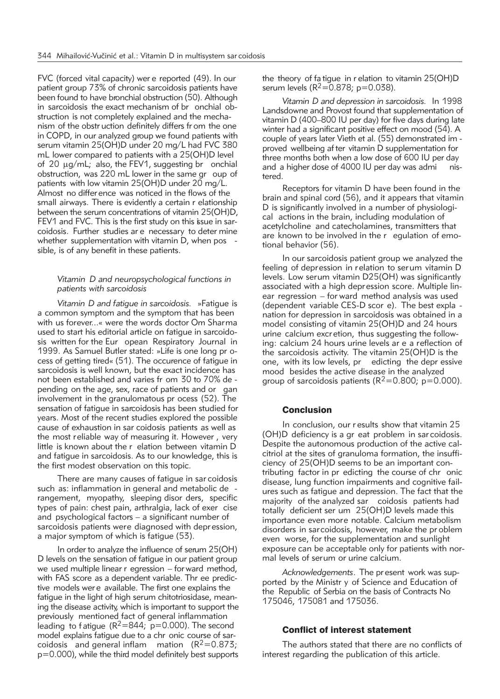FVC (forced vital capacity) wer e reported (49). In our patient group 73% of chronic sarcoidosis patients have been found to have bronchial obstruction (50). Although in sarcoidosis the exact mechanism of br onchial obstruction is not completely explained and the mechanism of the obstr uction definitely differs fr om the one in COPD, in our analyzed group we found patients with serum vitamin 25(OH)D under 20 mg/L had FVC 380 mL lower compared to patients with a 25(OH)D level of 20  $\mu$ g/mL; also, the FEV1, suggesting br on chial obstruction, was 220 mL lower in the same gr oup of patients with low vitamin 25(OH)D under 20 mg/L. Almost no differ ence was noticed in the flows of the small airways. There is evidently a certain r elationship between the serum concentrations of vitamin 25(OH)D, FEV1 and FVC. This is the first study on this issue in sarcoidosis. Further studies ar e necessary to deter mine whether supplementation with vitamin D, when pos sible, is of any benefit in these patients.

# *Vitamin D and neuropsychological functions in patients with sarcoidosis*

*Vitamin D and fatigue in sarcoidosis.* »Fatigue is a common symptom and the symptom that has been with us forever...« were the words doctor Om Sharma used to start his editorial article on fatigue in sarcoidosis written for the Eur opean Respiratory Journal in 1999. As Samuel Butler stated: »Life is one long pr ocess of getting tired« (51). The occurence of fatique in sarcoidosis is well known, but the exact incidence has not been established and varies fr om 30 to 70% de pending on the age, sex, race of patients and or gan involvement in the granulomatous pr ocess (52). The sensation of fatigue in sarcoidosis has been studied for years. Most of the recent studies explored the possible cause of exhaustion in sar coidosis patients as well as the most reliable way of measuring it. However , very little is known about the r elation between vitamin D and fatigue in sarcoidosis. As to our knowledge, this is the first modest observation on this topic.

There are many causes of fatigue in sar coidosis such as: inflammation in general and metabolic de rangement, myopathy, sleeping disor ders, specific types of pain: chest pain, arthralgia, lack of exer cise and psychological factors – a significant number of sarcoidosis patients were diagnosed with depr ession, a major symptom of which is fatigue (53).

In order to analyze the influence of serum 25(OH) D levels on the sensation of fatigue in our patient group we used multiple linear r egression – for ward method, with FAS score as a dependent variable. Thr ee predictive models wer e available. The first one explains the fatigue in the light of high serum chitotriosidase, meaning the disease activity, which is important to support the previously mentioned fact of general inflammation leading to f atigue  $(R^2 = 844; p = 0.000)$ . The second model explains fatigue due to a chr onic course of sarcoidosis and general inflam mation  $(R^2=0.873)$ ; p=0.000), while the third model definitely best supports

the theory of fa tigue in r elation to vitamin 25(OH)D serum levels ( $R^2 = 0.878$ ; p=0.038).

*Vitamin D and depression in sarcoidosis.* In 1998 Landsdowne and Provost found that supplementation of vitamin D (400–800 IU per day) for five days during late winter had a significant positive effect on mood (54). A couple of years later Vieth et al. (55) demonstrated im proved wellbeing af ter vitamin D supplementation for three months both when a low dose of 600 IU per day and a higher dose of 4000 IU per day was administered.

Receptors for vitamin D have been found in the brain and spinal cord (56), and it appears that vitamin D is significantly involved in a number of physiological actions in the brain, including modulation of acetylcholine and catecholamines, transmitters that are known to be involved in the r egulation of emotional behavior (56).

In our sarcoidosis patient group we analyzed the feeling of depression in relation to serum vitamin D levels. Low serum vitamin D25(OH) was significantly associated with a high depression score. Multiple linear regression – for ward method analysis was used (dependent variable CES-D scor e). The best expla nation for depression in sarcoidosis was obtained in a model consisting of vitamin 25(OH)D and 24 hours urine calcium excr etion, thus suggesting the following: calcium 24 hours urine levels ar e a reflection of the sarcoidosis activity. The vitamin 25(OH)D is the one, with its low levels, pr edicting the depr essive mood besides the active disease in the analyzed group of sarcoidosis patients ( $R^2$ =0.800; p=0.000).

# **Conclusion**

In conclusion, our r esults show that vitamin 25 (OH)D deficiency is a gr eat problem in sar coidosis. Despite the autonomous production of the active calcitriol at the sites of granuloma formation, the insufficiency of 25(OH)D seems to be an important contributing factor in pr edicting the course of chr onic disease, lung function impairments and cognitive failures such as fatigue and depression. The fact that the majority of the analyzed sar coidosis patients had totally deficient ser um 25(OH)D levels made this importance even more notable. Calcium metabolism disorders in sarcoidosis, however, make the pr oblem even worse, for the supplementation and sunlight exposure can be acceptable only for patients with normal levels of serum or urine calcium.

*Acknowledgements*. The pr esent work was supported by the Ministr y of Science and Education of the Republic of Serbia on the basis of Contracts No 175046, 175081 and 175036.

# Conflict of interest statement

The authors stated that there are no conflicts of interest regarding the publication of this article.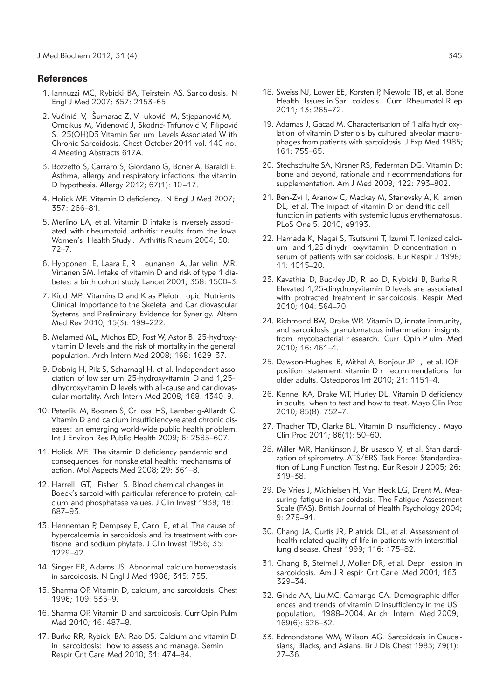### **References**

- 1. Iannuzzi MC, Rybicki BA, Teirstein AS. Sar coidosis. N Engl J Med 2007; 357: 2153–65.
- 2. Vučinić V, Šumarac Z, V uković M, Stjepanović M, Omcikus M, Videnović J, Skodrić- Trifunović V, Filipović S. 25(OH)D3 Vitamin Ser um Levels Associated W ith Chronic Sarcoidosis. Chest October 2011 vol. 140 no. 4 Meeting Abstracts 617A.
- 3. Bozzetto S, Carraro S, Giordano G, Boner A, Baraldi E. Asthma, allergy and respiratory infections: the vitamin D hypothesis. Allergy 2012; 67(1): 10–17.
- 4. Holick MF. Vitamin D deficiency. N Engl J Med 2007; 357: 266–81.
- 5. Merlino LA, et al. Vitamin D intake is inversely associated with r heumatoid arthritis: r esults from the Iowa Women's Health Study . Arthritis Rheum 2004; 50: 72–7.
- 6. Hypponen E, Laara E, R eunanen A, Jar velin MR, Virtanen SM. Intake of vitamin D and risk of type 1 diabetes: a birth cohort study. Lancet 2001; 358: 1500–3.
- 7. Kidd MP. Vitamins D and K as Pleiotr opic Nutrients: Clinical Importance to the Skeletal and Car diovascular Systems and Preliminary Evidence for Syner gy. Altern Med Rev 2010; 15(3): 199–222.
- 8. Melamed ML, Michos ED, Post W, Astor B. 25-hydroxyvitamin D levels and the risk of mortality in the general population. Arch Intern Med 2008; 168: 1629–37.
- 9. Dobnig H, Pilz S, Scharnagl H, et al. Independent association of low ser um 25-hydroxyvitamin D and 1,25 dihydroxyvitamin D levels with all-cause and car diovascular mortality. Arch Intern Med 2008; 168: 1340–9.
- 10. Peterlik M, Boonen S, Cr oss HS, Lamber g-Allardt C. Vitamin D and calcium insufficiency-related chronic diseases: an emerging world-wide public health pr oblem. Int J Environ Res Public Health 2009; 6: 2585–607.
- 11. Holick MF. The vitamin D deficiency pandemic and consequences for nonskeletal health: mechanisms of action. Mol Aspects Med 2008; 29: 361–8.
- 12. Harrell GT, Fisher S. Blood chemical changes in Boeck's sarcoid with particular reference to protein, calcium and phosphatase values. J Clin Invest 1939; 18: 687–93.
- 13. Henneman P, Dempsey E, Carol E, et al. The cause of hypercalcemia in sarcoidosis and its treatment with cortisone and sodium phytate. J Clin Invest 1956; 35: 1229–42.
- 14. Singer FR, Adams JS. Abnormal calcium homeostasis in sarcoidosis. N Engl J Med 1986; 315: 755.
- 15. Sharma OP. Vitamin D, calcium, and sarcoidosis. Chest 1996; 109: 535–9.
- 16. Sharma OP. Vitamin D and sarcoidosis. Curr Opin Pulm Med 2010; 16: 487–8.
- 17. Burke RR, Rybicki BA, Rao DS. Calcium and vitamin D in sarcoidosis: how to assess and manage. Semin Respir Crit Care Med 2010; 31: 474–84.
- 18. Sweiss NJ, Lower EE, Korsten P, Niewold TB, et al. Bone Health Issues in Sar coidosis. Curr Rheumatol R ep 2011; 13: 265–72.
- 19. Adamas J, Gacad M. Characterisation of 1 alfa hydr oxylation of vitamin D ster ols by cultured alveolar macrophages from patients with sarcoidosis. J Exp Med 1985; 161: 755–65.
- 20. Stechschulte SA, Kirsner RS, Federman DG. Vitamin D: bone and beyond, rationale and r ecommendations for supplementation. Am J Med 2009; 122: 793–802.
- 21. Ben-Zvi I, Aranow C, Mackay M, Stanevsky A, K amen DL, et al. The impact of vitamin D on dendritic cell function in patients with systemic lupus erythematosus. PLoS One 5: 2010; e9193.
- 22. Hamada K, Nagai S, Tsutsumi T, Izumi T. Ionized calcium and 1,25 dihydr oxyvitamin D concentration in serum of patients with sar coidosis. Eur Respir J 1998; 11: 1015–20.
- 23. Kavathia D, Buckley JD, R ao D, R ybicki B, Burke R. Elevated 1,25-dihydroxyvitamin D levels are associated with protracted treatment in sar coidosis. Respir Med 2010; 104: 564–70.
- 24. Richmond BW, Drake WP. Vitamin D, innate immunity, and sarcoidosis granulomatous inflammation: insights from mycobacterial r esearch. Curr Opin P ulm Med 2010; 16: 461–4.
- 25. Dawson-Hughes B, Mithal A, Bonjour JP , et al. IOF position statement: vitamin D r ecommendations for older adults. Osteoporos Int 2010; 21: 1151–4.
- 26. Kennel KA, Drake MT, Hurley DL. Vitamin D deficiency in adults: when to test and how to treat. Mayo Clin Proc 2010; 85(8): 752–7.
- 27. Thacher TD, Clarke BL. Vitamin D insufficiency . Mayo Clin Proc 2011; 86(1): 50–60.
- 28. Miller MR, Hankinson J, Br usasco V, et al. Stan dardization of spirometry. ATS/ERS Task Force: Standardization of Lung Function Testing. Eur Respir J 2005; 26: 319–38.
- 29. De Vries J, Michielsen H, Van Heck LG, Drent M. Measuring fatigue in sar coidosis: The Fatigue Assessment Scale (FAS). British Journal of Health Psychology 2004; 9: 279–91.
- 30. Chang JA, Curtis JR, P atrick DL, et al. Assessment of health-related quality of life in patients with interstitial lung disease. Chest 1999; 116: 175–82.
- 31. Chang B, Steimel J, Moller DR, et al. Depr ession in sarcoidosis. Am J R espir Crit Car e Med 2001; 163: 329–34.
- 32. Ginde AA, Liu MC, Camargo CA. Demographic differences and trends of vitamin D insufficiency in the US population, 1988–2004. Ar ch Intern Med 2009; 169(6): 626–32.
- 33. Edmondstone WM, Wilson AG. Sarcoidosis in Cauca sians, Blacks, and Asians. Br J Dis Chest 1985; 79(1): 27–36.